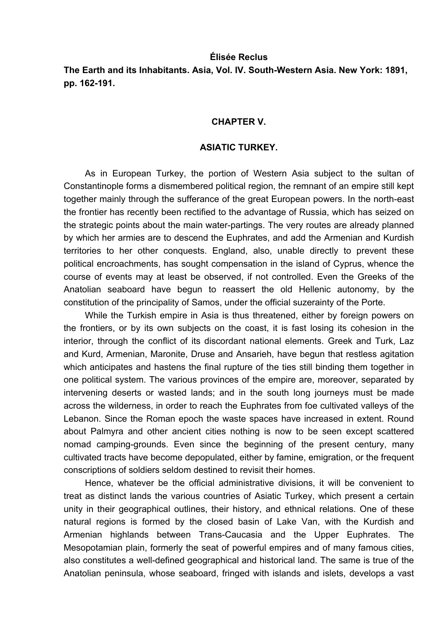#### **Élisée Reclus**

**The Earth and its Inhabitants. Asia, Vol. IV. South-Western Asia. New York: 1891, pp. 162-191.** 

#### **CHAPTER V.**

#### **ASIATIC TURKEY.**

As in European Turkey, the portion of Western Asia subject to the sultan of Constantinople forms a dismembered political region, the remnant of an empire still kept together mainly through the sufferance of the great European powers. In the north-east the frontier has recently been rectified to the advantage of Russia, which has seized on the strategic points about the main water-partings. The very routes are already planned by which her armies are to descend the Euphrates, and add the Armenian and Kurdish territories to her other conquests. England, also, unable directly to prevent these political encroachments, has sought compensation in the island of Cyprus, whence the course of events may at least be observed, if not controlled. Even the Greeks of the Anatolian seaboard have begun to reassert the old Hellenic autonomy, by the constitution of the principality of Samos, under the official suzerainty of the Porte.

While the Turkish empire in Asia is thus threatened, either by foreign powers on the frontiers, or by its own subjects on the coast, it is fast losing its cohesion in the interior, through the conflict of its discordant national elements. Greek and Turk, Laz and Kurd, Armenian, Maronite, Druse and Ansarieh, have begun that restless agitation which anticipates and hastens the final rupture of the ties still binding them together in one political system. The various provinces of the empire are, moreover, separated by intervening deserts or wasted lands; and in the south long journeys must be made across the wilderness, in order to reach the Euphrates from foe cultivated valleys of the Lebanon. Since the Roman epoch the waste spaces have increased in extent. Round about Palmyra and other ancient cities nothing is now to be seen except scattered nomad camping-grounds. Even since the beginning of the present century, many cultivated tracts have become depopulated, either by famine, emigration, or the frequent conscriptions of soldiers seldom destined to revisit their homes.

Hence, whatever be the official administrative divisions, it will be convenient to treat as distinct lands the various countries of Asiatic Turkey, which present a certain unity in their geographical outlines, their history, and ethnical relations. One of these natural regions is formed by the closed basin of Lake Van, with the Kurdish and Armenian highlands between Trans-Caucasia and the Upper Euphrates. The Mesopotamian plain, formerly the seat of powerful empires and of many famous cities, also constitutes a well-defined geographical and historical land. The same is true of the Anatolian peninsula, whose seaboard, fringed with islands and islets, develops a vast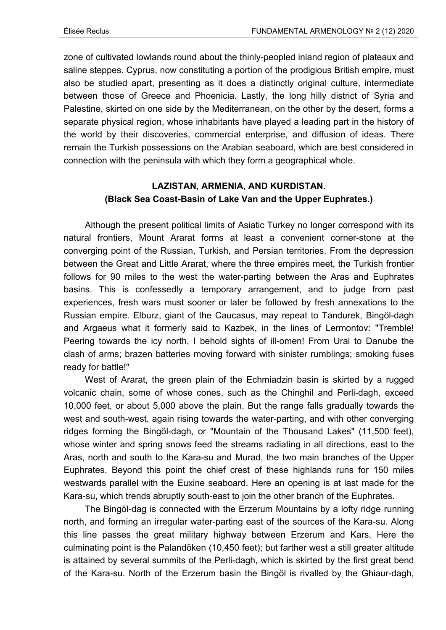zone of cultivated lowlands round about the thinly-peopled inland region of plateaux and saline steppes. Cyprus, now constituting a portion of the prodigious British empire, must also be studied apart, presenting as it does a distinctly original culture, intermediate between those of Greece and Phoenicia. Lastly, the long hilly district of Syria and Palestine, skirted on one side by the Mediterranean, on the other by the desert, forms a separate physical region, whose inhabitants have played a leading part in the history of the world by their discoveries, commercial enterprise, and diffusion of ideas. There remain the Turkish possessions on the Arabian seaboard, which are best considered in connection with the peninsula with which they form a geographical whole.

# **LAZISTAN, ARMENIA, AND KURDISTAN. (Black Sea Coast-Basin of Lake Van and the Upper Euphrates.)**

Although the present political limits of Asiatic Turkey no longer correspond with its natural frontiers, Mount Ararat forms at least a convenient corner-stone at the converging point of the Russian, Turkish, and Persian territories. From the depression between the Great and Little Ararat, where the three empires meet, the Turkish frontier follows for 90 miles to the west the water-parting between the Aras and Euphrates basins. This is confessedly a temporary arrangement, and to judge from past experiences, fresh wars must sooner or later be followed by fresh annexations to the Russian empire. Elburz, giant of the Caucasus, may repeat to Tandurek, Bingöl-dagh and Argaeus what it formerly said to Kazbek, in the lines of Lermontov: "Tremble! Peering towards the icy north, I behold sights of ill-omen! From Ural to Danube the clash of arms; brazen batteries moving forward with sinister rumblings; smoking fuses ready for battle!"

West of Ararat, the green plain of the Echmiadzin basin is skirted by a rugged volcanic chain, some of whose cones, such as the Chinghil and Perli-dagh, exceed 10,000 feet, or about 5,000 above the plain. But the range falls gradually towards the west and south-west, again rising towards the water-parting, and with other converging ridges forming the Bingöl-dagh, or "Mountain of the Thousand Lakes" (11,500 feet), whose winter and spring snows feed the streams radiating in all directions, east to the Aras, north and south to the Kara-su and Murad, the two main branches of the Upper Euphrates. Beyond this point the chief crest of these highlands runs for 150 miles westwards parallel with the Euxine seaboard. Here an opening is at last made for the Kara-su, which trends abruptly south-east to join the other branch of the Euphrates.

The Bingöl-dag is connected with the Erzerum Mountains by a lofty ridge running north, and forming an irregular water-parting east of the sources of the Kara-su. Along this line passes the great military highway between Erzerum and Kars. Here the culminating point is the Palandöken (10,450 feet); but farther west a still greater altitude is attained by several summits of the Perli-dagh, which is skirted by the first great bend of the Kara-su. North of the Erzerum basin the Bingöl is rivalled by the Ghiaur-dagh,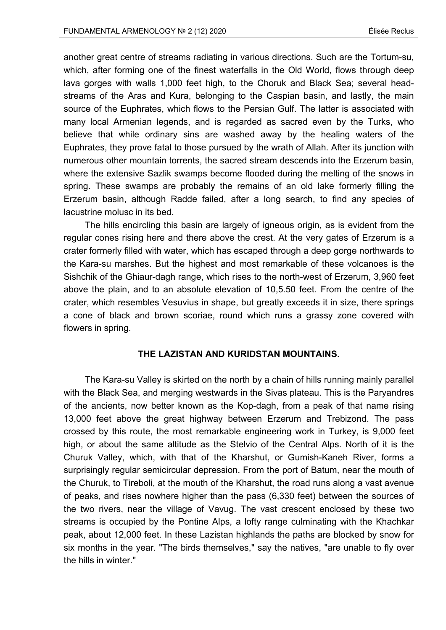another great centre of streams radiating in various directions. Such are the Tortum-su, which, after forming one of the finest waterfalls in the Old World, flows through deep lava gorges with walls 1,000 feet high, to the Choruk and Black Sea; several headstreams of the Aras and Kura, belonging to the Caspian basin, and lastly, the main source of the Euphrates, which flows to the Persian Gulf. The latter is associated with many local Armenian legends, and is regarded as sacred even by the Turks, who believe that while ordinary sins are washed away by the healing waters of the Euphrates, they prove fatal to those pursued by the wrath of Allah. After its junction with numerous other mountain torrents, the sacred stream descends into the Erzerum basin, where the extensive Sazlik swamps become flooded during the melting of the snows in spring. These swamps are probably the remains of an old lake formerly filling the Erzerum basin, although Radde failed, after a long search, to find any species of lacustrine molusc in its bed.

The hills encircling this basin are largely of igneous origin, as is evident from the regular cones rising here and there above the crest. At the very gates of Erzerum is a crater formerly filled with water, which has escaped through a deep gorge northwards to the Kara-su marshes. But the highest and most remarkable of these volcanoes is the Sishchik of the Ghiaur-dagh range, which rises to the north-west of Erzerum, 3,960 feet above the plain, and to an absolute elevation of 10,5.50 feet. From the centre of the crater, which resembles Vesuvius in shape, but greatly exceeds it in size, there springs a cone of black and brown scoriae, round which runs a grassy zone covered with flowers in spring.

# **THE LAZISTAN AND KURIDSTAN MOUNTAINS.**

The Kara-su Valley is skirted on the north by a chain of hills running mainly parallel with the Black Sea, and merging westwards in the Sivas plateau. This is the Paryandres of the ancients, now better known as the Kop-dagh, from a peak of that name rising 13,000 feet above the great highway between Erzerum and Trebizond. The pass crossed by this route, the most remarkable engineering work in Turkey, is 9,000 feet high, or about the same altitude as the Stelvio of the Central Alps. North of it is the Churuk Valley, which, with that of the Kharshut, or Gumish-Kaneh River, forms a surprisingly regular semicircular depression. From the port of Batum, near the mouth of the Churuk, to Tireboli, at the mouth of the Kharshut, the road runs along a vast avenue of peaks, and rises nowhere higher than the pass (6,330 feet) between the sources of the two rivers, near the village of Vavug. The vast crescent enclosed by these two streams is occupied by the Pontine Alps, a lofty range culminating with the Khachkar peak, about 12,000 feet. In these Lazistan highlands the paths are blocked by snow for six months in the year. "The birds themselves," say the natives, "are unable to fly over the hills in winter."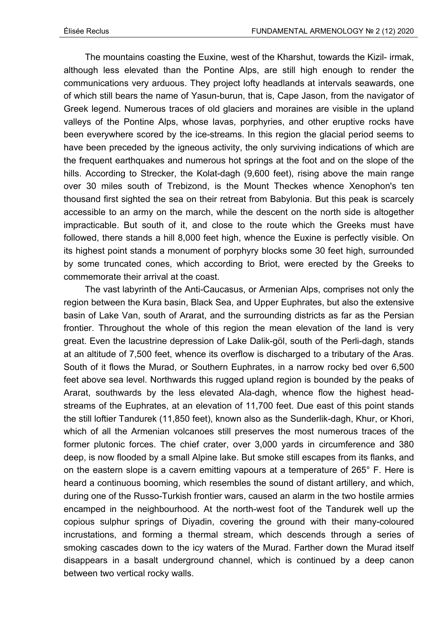The mountains coasting the Euxine, west of the Kharshut, towards the Kizil- irmak, although less elevated than the Pontine Alps, are still high enough to render the communications very arduous. They project lofty headlands at intervals seawards, one of which still bears the name of Yasun-burun, that is, Cape Jason, from the navigator of Greek legend. Numerous traces of old glaciers and moraines are visible in the upland valleys of the Pontine Alps, whose lavas, porphyries, and other eruptive rocks have been everywhere scored by the ice-streams. In this region the glacial period seems to have been preceded by the igneous activity, the only surviving indications of which are the frequent earthquakes and numerous hot springs at the foot and on the slope of the hills. According to Strecker, the Kolat-dagh (9,600 feet), rising above the main range over 30 miles south of Trebizond, is the Mount Theckes whence Xenophon's ten thousand first sighted the sea on their retreat from Babylonia. But this peak is scarcely accessible to an army on the march, while the descent on the north side is altogether impracticable. But south of it, and close to the route which the Greeks must have followed, there stands a hill 8,000 feet high, whence the Euxine is perfectly visible. On its highest point stands a monument of porphyry blocks some 30 feet high, surrounded by some truncated cones, which according to Briot, were erected by the Greeks to commemorate their arrival at the coast.

The vast labyrinth of the Anti-Caucasus, or Armenian Alps, comprises not only the region between the Kura basin, Black Sea, and Upper Euphrates, but also the extensive basin of Lake Van, south of Ararat, and the surrounding districts as far as the Persian frontier. Throughout the whole of this region the mean elevation of the land is very great. Even the lacustrine depression of Lake Dalik-göl, south of the Perli-dagh, stands at an altitude of 7,500 feet, whence its overflow is discharged to a tributary of the Aras. South of it flows the Murad, or Southern Euphrates, in a narrow rocky bed over 6,500 feet above sea level. Northwards this rugged upland region is bounded by the peaks of Ararat, southwards by the less elevated Ala-dagh, whence flow the highest headstreams of the Euphrates, at an elevation of 11,700 feet. Due east of this point stands the still loftier Tandurek (11,850 feet), known also as the Sunderlik-dagh, Khur, or Khori, which of all the Armenian volcanoes still preserves the most numerous traces of the former plutonic forces. The chief crater, over 3,000 yards in circumference and 380 deep, is now flooded by a small Alpine lake. But smoke still escapes from its flanks, and on the eastern slope is a cavern emitting vapours at a temperature of 265° F. Here is heard a continuous booming, which resembles the sound of distant artillery, and which, during one of the Russo-Turkish frontier wars, caused an alarm in the two hostile armies encamped in the neighbourhood. At the north-west foot of the Tandurek well up the copious sulphur springs of Diyadin, covering the ground with their many-coloured incrustations, and forming a thermal stream, which descends through a series of smoking cascades down to the icy waters of the Murad. Farther down the Murad itself disappears in a basalt underground channel, which is continued by a deep canon between two vertical rocky walls.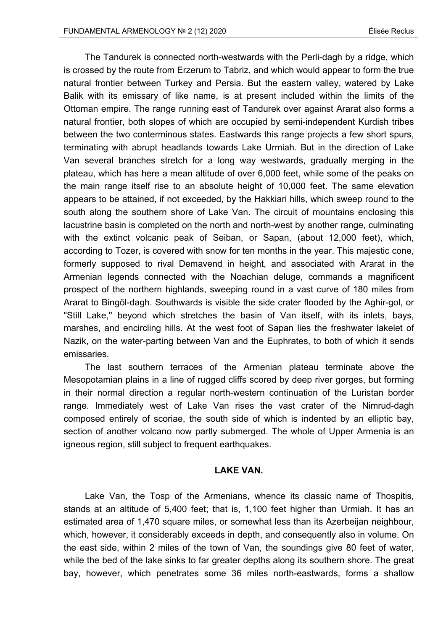The Tandurek is connected north-westwards with the Perli-dagh by a ridge, which is crossed by the route from Erzerum to Tabriz, and which would appear to form the true natural frontier between Turkey and Persia. But the eastern valley, watered by Lake Balik with its emissary of like name, is at present included within the limits of the Ottoman empire. The range running east of Tandurek over against Ararat also forms a natural frontier, both slopes of which are occupied by semi-independent Kurdish tribes between the two conterminous states. Eastwards this range projects a few short spurs, terminating with abrupt headlands towards Lake Urmiah. But in the direction of Lake Van several branches stretch for a long way westwards, gradually merging in the plateau, which has here a mean altitude of over 6,000 feet, while some of the peaks on the main range itself rise to an absolute height of 10,000 feet. The same elevation appears to be attained, if not exceeded, by the Hakkiari hills, which sweep round to the south along the southern shore of Lake Van. The circuit of mountains enclosing this lacustrine basin is completed on the north and north-west by another range, culminating with the extinct volcanic peak of Seiban, or Sapan, (about 12,000 feet), which, according to Tozer, is covered with snow for ten months in the year. This majestic cone, formerly supposed to rival Demavend in height, and associated with Ararat in the Armenian legends connected with the Noachian deluge, commands a magnificent prospect of the northern highlands, sweeping round in a vast curve of 180 miles from Ararat to Bingöl-dagh. Southwards is visible the side crater flooded by the Aghir-gol, or "Still Lake,'' beyond which stretches the basin of Van itself, with its inlets, bays, marshes, and encircling hills. At the west foot of Sapan lies the freshwater lakelet of Nazik, on the water-parting between Van and the Euphrates, to both of which it sends emissaries.

The last southern terraces of the Armenian plateau terminate above the Mesopotamian plains in a line of rugged cliffs scored by deep river gorges, but forming in their normal direction a regular north-western continuation of the Luristan border range. Immediately west of Lake Van rises the vast crater of the Nimrud-dagh composed entirely of scoriae, the south side of which is indented by an elliptic bay, section of another volcano now partly submerged. The whole of Upper Armenia is an igneous region, still subject to frequent earthquakes.

#### **LAKE VAN.**

Lake Van, the Tosp of the Armenians, whence its classic name of Thospitis, stands at an altitude of 5,400 feet; that is, 1,100 feet higher than Urmiah. It has an estimated area of 1,470 square miles, or somewhat less than its Azerbeijan neighbour, which, however, it considerably exceeds in depth, and consequently also in volume. On the east side, within 2 miles of the town of Van, the soundings give 80 feet of water, while the bed of the lake sinks to far greater depths along its southern shore. The great bay, however, which penetrates some 36 miles north-eastwards, forms a shallow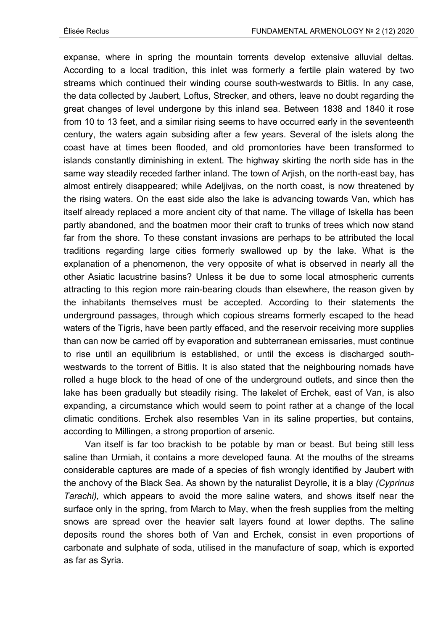expanse, where in spring the mountain torrents develop extensive alluvial deltas. According to a local tradition, this inlet was formerly a fertile plain watered by two streams which continued their winding course south-westwards to Bitlis. In any case, the data collected by Jaubert, Loftus, Strecker, and others, leave no doubt regarding the great changes of level undergone by this inland sea. Between 1838 and 1840 it rose from 10 to 13 feet, and a similar rising seems to have occurred early in the seventeenth century, the waters again subsiding after a few years. Several of the islets along the coast have at times been flooded, and old promontories have been transformed to islands constantly diminishing in extent. The highway skirting the north side has in the same way steadily receded farther inland. The town of Arjish, on the north-east bay, has almost entirely disappeared; while Adeljivas, on the north coast, is now threatened by the rising waters. On the east side also the lake is advancing towards Van, which has itself already replaced a more ancient city of that name. The village of Iskella has been partly abandoned, and the boatmen moor their craft to trunks of trees which now stand far from the shore. To these constant invasions are perhaps to be attributed the local traditions regarding large cities formerly swallowed up by the lake. What is the explanation of a phenomenon, the very opposite of what is observed in nearly all the other Asiatic lacustrine basins? Unless it be due to some local atmospheric currents attracting to this region more rain-bearing clouds than elsewhere, the reason given by the inhabitants themselves must be accepted. According to their statements the underground passages, through which copious streams formerly escaped to the head waters of the Tigris, have been partly effaced, and the reservoir receiving more supplies than can now be carried off by evaporation and subterranean emissaries, must continue to rise until an equilibrium is established, or until the excess is discharged southwestwards to the torrent of Bitlis. It is also stated that the neighbouring nomads have rolled a huge block to the head of one of the underground outlets, and since then the lake has been gradually but steadily rising. The lakelet of Erchek, east of Van, is also expanding, a circumstance which would seem to point rather at a change of the local climatic conditions. Erchek also resembles Van in its saline properties, but contains, according to Millingen, a strong proportion of arsenic.

Van itself is far too brackish to be potable by man or beast. But being still less saline than Urmiah, it contains a more developed fauna. At the mouths of the streams considerable captures are made of a species of fish wrongly identified by Jaubert with the anchovy of the Black Sea. As shown by the naturalist Deyrolle, it is a blay *(Cyprinus Tarachi),* which appears to avoid the more saline waters, and shows itself near the surface only in the spring, from March to May, when the fresh supplies from the melting snows are spread over the heavier salt layers found at lower depths. The saline deposits round the shores both of Van and Erchek, consist in even proportions of carbonate and sulphate of soda, utilised in the manufacture of soap, which is exported as far as Syria.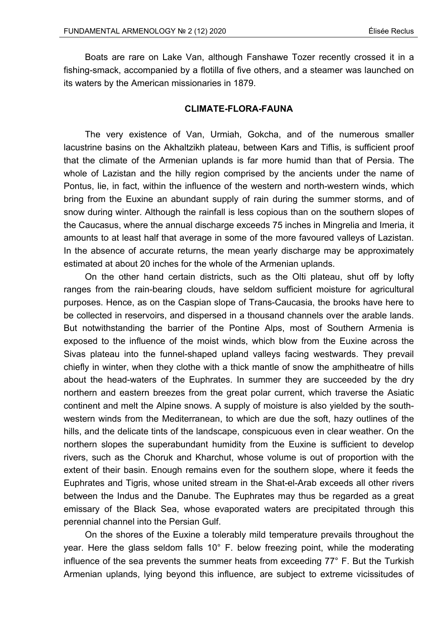Boats are rare on Lake Van, although Fanshawe Tozer recently crossed it in a fishing-smack, accompanied by a flotilla of five others, and a steamer was launched on its waters by the American missionaries in 1879.

## **CLIMATE-FLORA-FAUNA**

The very existence of Van, Urmiah, Gokcha, and of the numerous smaller lacustrine basins on the Akhaltzikh plateau, between Kars and Tiflis, is sufficient proof that the climate of the Armenian uplands is far more humid than that of Persia. The whole of Lazistan and the hilly region comprised by the ancients under the name of Pontus, lie, in fact, within the influence of the western and north-western winds, which bring from the Euxine an abundant supply of rain during the summer storms, and of snow during winter. Although the rainfall is less copious than on the southern slopes of the Caucasus, where the annual discharge exceeds 75 inches in Mingrelia and Imeria, it amounts to at least half that average in some of the more favoured valleys of Lazistan. In the absence of accurate returns, the mean yearly discharge may be approximately estimated at about 20 inches for the whole of the Armenian uplands.

On the other hand certain districts, such as the Olti plateau, shut off by lofty ranges from the rain-bearing clouds, have seldom sufficient moisture for agricultural purposes. Hence, as on the Caspian slope of Trans-Caucasia, the brooks have here to be collected in reservoirs, and dispersed in a thousand channels over the arable lands. But notwithstanding the barrier of the Pontine Alps, most of Southern Armenia is exposed to the influence of the moist winds, which blow from the Euxine across the Sivas plateau into the funnel-shaped upland valleys facing westwards. They prevail chiefly in winter, when they clothe with a thick mantle of snow the amphitheatre of hills about the head-waters of the Euphrates. In summer they are succeeded by the dry northern and eastern breezes from the great polar current, which traverse the Asiatic continent and melt the Alpine snows. A supply of moisture is also yielded by the southwestern winds from the Mediterranean, to which are due the soft, hazy outlines of the hills, and the delicate tints of the landscape, conspicuous even in clear weather. On the northern slopes the superabundant humidity from the Euxine is sufficient to develop rivers, such as the Choruk and Kharchut, whose volume is out of proportion with the extent of their basin. Enough remains even for the southern slope, where it feeds the Euphrates and Tigris, whose united stream in the Shat-el-Arab exceeds all other rivers between the Indus and the Danube. The Euphrates may thus be regarded as a great emissary of the Black Sea, whose evaporated waters are precipitated through this perennial channel into the Persian Gulf.

On the shores of the Euxine a tolerably mild temperature prevails throughout the year. Here the glass seldom falls 10° F. below freezing point, while the moderating influence of the sea prevents the summer heats from exceeding 77° F. But the Turkish Armenian uplands, lying beyond this influence, are subject to extreme vicissitudes of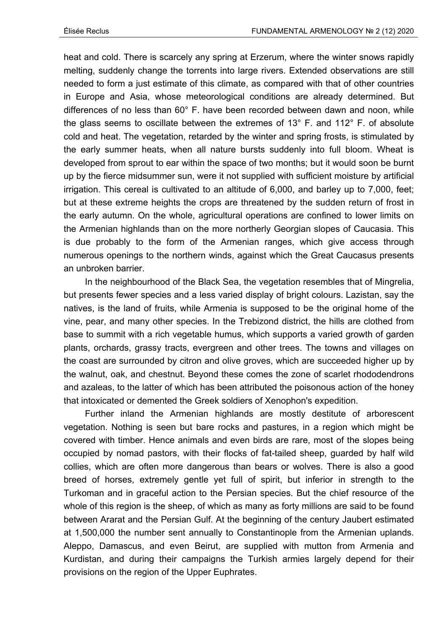heat and cold. There is scarcely any spring at Erzerum, where the winter snows rapidly melting, suddenly change the torrents into large rivers. Extended observations are still needed to form a just estimate of this climate, as compared with that of other countries in Europe and Asia, whose meteorological conditions are already determined. But differences of no less than 60° F. have been recorded between dawn and noon, while the glass seems to oscillate between the extremes of 13° F. and 112° F. of absolute cold and heat. The vegetation, retarded by the winter and spring frosts, is stimulated by the early summer heats, when all nature bursts suddenly into full bloom. Wheat is developed from sprout to ear within the space of two months; but it would soon be burnt up by the fierce midsummer sun, were it not supplied with sufficient moisture by artificial irrigation. This cereal is cultivated to an altitude of 6,000, and barley up to 7,000, feet; but at these extreme heights the crops are threatened by the sudden return of frost in the early autumn. On the whole, agricultural operations are confined to lower limits on the Armenian highlands than on the more northerly Georgian slopes of Caucasia. This is due probably to the form of the Armenian ranges, which give access through numerous openings to the northern winds, against which the Great Caucasus presents an unbroken barrier.

In the neighbourhood of the Black Sea, the vegetation resembles that of Mingrelia, but presents fewer species and a less varied display of bright colours. Lazistan, say the natives, is the land of fruits, while Armenia is supposed to be the original home of the vine, pear, and many other species. In the Trebizond district, the hills are clothed from base to summit with a rich vegetable humus, which supports a varied growth of garden plants, orchards, grassy tracts, evergreen and other trees. The towns and villages on the coast are surrounded by citron and olive groves, which are succeeded higher up by the walnut, oak, and chestnut. Beyond these comes the zone of scarlet rhododendrons and azaleas, to the latter of which has been attributed the poisonous action of the honey that intoxicated or demented the Greek soldiers of Xenophon's expedition.

Further inland the Armenian highlands are mostly destitute of arborescent vegetation. Nothing is seen but bare rocks and pastures, in a region which might be covered with timber. Hence animals and even birds are rare, most of the slopes being occupied by nomad pastors, with their flocks of fat-tailed sheep, guarded by half wild collies, which are often more dangerous than bears or wolves. There is also a good breed of horses, extremely gentle yet full of spirit, but inferior in strength to the Turkoman and in graceful action to the Persian species. But the chief resource of the whole of this region is the sheep, of which as many as forty millions are said to be found between Ararat and the Persian Gulf. At the beginning of the century Jaubert estimated at 1,500,000 the number sent annually to Constantinople from the Armenian uplands. Aleppo, Damascus, and even Beirut, are supplied with mutton from Armenia and Kurdistan, and during their campaigns the Turkish armies largely depend for their provisions on the region of the Upper Euphrates.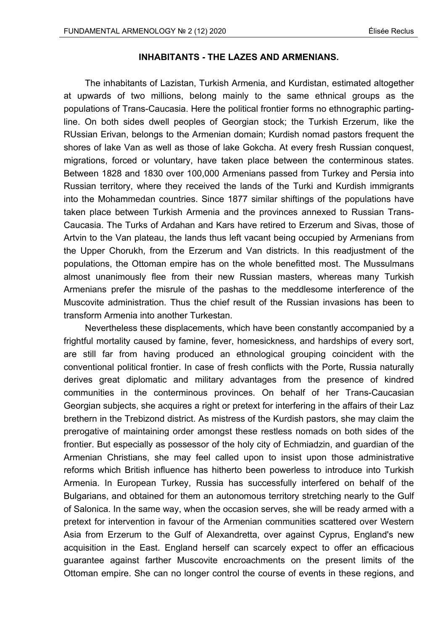## **INHABITANTS - THE LAZES AND ARMENIANS.**

The inhabitants of Lazistan, Turkish Armenia, and Kurdistan, estimated altogether at upwards of two millions, belong mainly to the same ethnical groups as the populations of Trans-Caucasia. Here the political frontier forms no ethnographic partingline. On both sides dwell peoples of Georgian stock; the Turkish Erzerum, like the RUssian Erivan, belongs to the Armenian domain; Kurdish nomad pastors frequent the shores of lake Van as well as those of lake Gokcha. At every fresh Russian conquest, migrations, forced or voluntary, have taken place between the conterminous states. Between 1828 and 1830 over 100,000 Armenians passed from Turkey and Persia into Russian territory, where they received the lands of the Turki and Kurdish immigrants into the Mohammedan countries. Since 1877 similar shiftings of the populations have taken place between Turkish Armenia and the provinces annexed to Russian Trans-Caucasia. The Turks of Ardahan and Kars have retired to Erzerum and Sivas, those of Artvin to the Van plateau, the lands thus left vacant being occupied by Armenians from the Upper Chorukh, from the Erzerum and Van districts. In this readjustment of the populations, the Ottoman empire has on the whole benefitted most. The Mussulmans almost unanimously flee from their new Russian masters, whereas many Turkish Armenians prefer the misrule of the pashas to the meddlesome interference of the Muscovite administration. Thus the chief result of the Russian invasions has been to transform Armenia into another Turkestan.

Nevertheless these displacements, which have been constantly accompanied by a frightful mortality caused by famine, fever, homesickness, and hardships of every sort, are still far from having produced an ethnological grouping coincident with the conventional political frontier. In case of fresh conflicts with the Porte, Russia naturally derives great diplomatic and military advantages from the presence of kindred communities in the conterminous provinces. On behalf of her Trans-Caucasian Georgian subjects, she acquires a right or pretext for interfering in the affairs of their Laz brethern in the Trebizond district. As mistress of the Kurdish pastors, she may claim the prerogative of maintaining order amongst these restless nomads on both sides of the frontier. But especially as possessor of the holy city of Echmiadzin, and guardian of the Armenian Christians, she may feel called upon to insist upon those administrative reforms which British influence has hitherto been powerless to introduce into Turkish Armenia. In European Turkey, Russia has successfully interfered on behalf of the Bulgarians, and obtained for them an autonomous territory stretching nearly to the Gulf of Salonica. In the same way, when the occasion serves, she will be ready armed with a pretext for intervention in favour of the Armenian communities scattered over Western Asia from Erzerum to the Gulf of Alexandretta, over against Cyprus, England's new acquisition in the East. England herself can scarcely expect to offer an efficacious guarantee against farther Muscovite encroachments on the present limits of the Ottoman empire. She can no longer control the course of events in these regions, and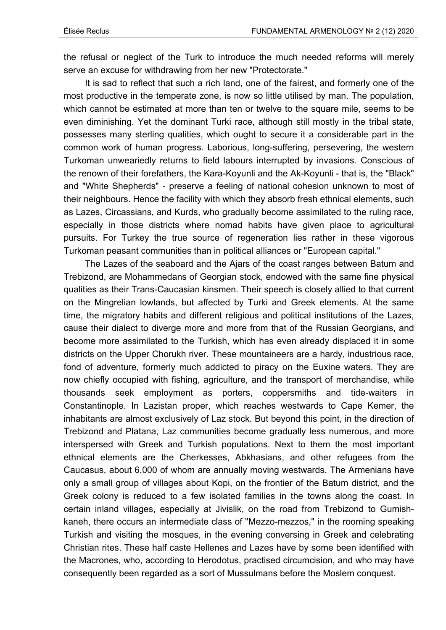the refusal or neglect of the Turk to introduce the much needed reforms will merely serve an excuse for withdrawing from her new "Protectorate."

It is sad to reflect that such a rich land, one of the fairest, and formerly one of the most productive in the temperate zone, is now so little utilised by man. The population, which cannot be estimated at more than ten or twelve to the square mile, seems to be even diminishing. Yet the dominant Turki race, although still mostly in the tribal state, possesses many sterling qualities, which ought to secure it a considerable part in the common work of human progress. Laborious, long-suffering, persevering, the western Turkoman unweariedly returns to field labours interrupted by invasions. Conscious of the renown of their forefathers, the Kara-Koyunli and the Ak-Koyunli - that is, the "Black" and "White Shepherds" - preserve a feeling of national cohesion unknown to most of their neighbours. Hence the facility with which they absorb fresh ethnical elements, such as Lazes, Circassians, and Kurds, who gradually become assimilated to the ruling race, especially in those districts where nomad habits have given place to agricultural pursuits. For Turkey the true source of regeneration lies rather in these vigorous Turkoman peasant communities than in political alliances or "European capital."

The Lazes of the seaboard and the Ajars of the coast ranges between Batum and Trebizond, are Mohammedans of Georgian stock, endowed with the same fine physical qualities as their Trans-Caucasian kinsmen. Their speech is closely allied to that current on the Mingrelian lowlands, but affected by Turki and Greek elements. At the same time, the migratory habits and different religious and political institutions of the Lazes, cause their dialect to diverge more and more from that of the Russian Georgians, and become more assimilated to the Turkish, which has even already displaced it in some districts on the Upper Chorukh river. These mountaineers are a hardy, industrious race, fond of adventure, formerly much addicted to piracy on the Euxine waters. They are now chiefly occupied with fishing, agriculture, and the transport of merchandise, while thousands seek employment as porters, coppersmiths and tide-waiters in Constantinople. In Lazistan proper, which reaches westwards to Cape Kemer, the inhabitants are almost exclusively of Laz stock. But beyond this point, in the direction of Trebizond and Platana, Laz communities become gradually less numerous, and more interspersed with Greek and Turkish populations. Next to them the most important ethnical elements are the Cherkesses, Abkhasians, and other refugees from the Caucasus, about 6,000 of whom are annually moving westwards. The Armenians have only a small group of villages about Kopi, on the frontier of the Batum district, and the Greek colony is reduced to a few isolated families in the towns along the coast. In certain inland villages, especially at Jivislik, on the road from Trebizond to Gumishkaneh, there occurs an intermediate class of "Mezzo-mezzos," in the rooming speaking Turkish and visiting the mosques, in the evening conversing in Greek and celebrating Christian rites. These half caste Hellenes and Lazes have by some been identified with the Macrones, who, according to Herodotus, practised circumcision, and who may have consequently been regarded as a sort of Mussulmans before the Moslem conquest.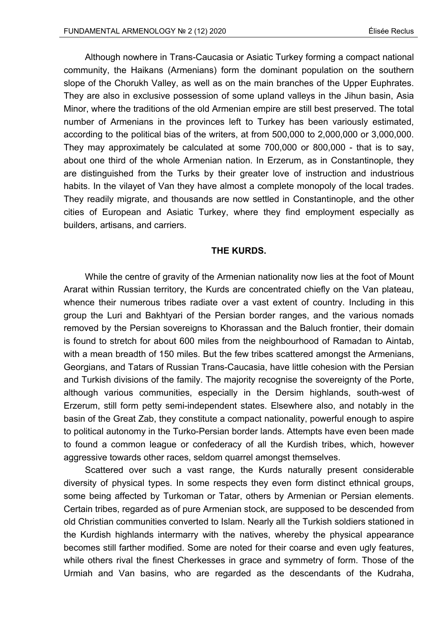Although nowhere in Trans-Caucasia or Asiatic Turkey forming a compact national community, the Haikans (Armenians) form the dominant population on the southern slope of the Chorukh Valley, as well as on the main branches of the Upper Euphrates. They are also in exclusive possession of some upland valleys in the Jihun basin, Asia Minor, where the traditions of the old Armenian empire are still best preserved. The total number of Armenians in the provinces left to Turkey has been variously estimated, according to the political bias of the writers, at from 500,000 to 2,000,000 or 3,000,000. They may approximately be calculated at some 700,000 or 800,000 - that is to say, about one third of the whole Armenian nation. In Erzerum, as in Constantinople, they are distinguished from the Turks by their greater love of instruction and industrious habits. In the vilayet of Van they have almost a complete monopoly of the local trades. They readily migrate, and thousands are now settled in Constantinople, and the other cities of European and Asiatic Turkey, where they find employment especially as builders, artisans, and carriers.

## **THE KURDS.**

While the centre of gravity of the Armenian nationality now lies at the foot of Mount Ararat within Russian territory, the Kurds are concentrated chiefly on the Van plateau, whence their numerous tribes radiate over a vast extent of country. Including in this group the Luri and Bakhtyari of the Persian border ranges, and the various nomads removed by the Persian sovereigns to Khorassan and the Baluch frontier, their domain is found to stretch for about 600 miles from the neighbourhood of Ramadan to Aintab, with a mean breadth of 150 miles. But the few tribes scattered amongst the Armenians, Georgians, and Tatars of Russian Trans-Caucasia, have little cohesion with the Persian and Turkish divisions of the family. The majority recognise the sovereignty of the Porte, although various communities, especially in the Dersim highlands, south-west of Erzerum, still form petty semi-independent states. Elsewhere also, and notably in the basin of the Great Zab, they constitute a compact nationality, powerful enough to aspire to political autonomy in the Turko-Persian border lands. Attempts have even been made to found a common league or confederacy of all the Kurdish tribes, which, however aggressive towards other races, seldom quarrel amongst themselves.

Scattered over such a vast range, the Kurds naturally present considerable diversity of physical types. In some respects they even form distinct ethnical groups, some being affected by Turkoman or Tatar, others by Armenian or Persian elements. Certain tribes, regarded as of pure Armenian stock, are supposed to be descended from old Christian communities converted to Islam. Nearly all the Turkish soldiers stationed in the Kurdish highlands intermarry with the natives, whereby the physical appearance becomes still farther modified. Some are noted for their coarse and even ugly features, while others rival the finest Cherkesses in grace and symmetry of form. Those of the Urmiah and Van basins, who are regarded as the descendants of the Kudraha,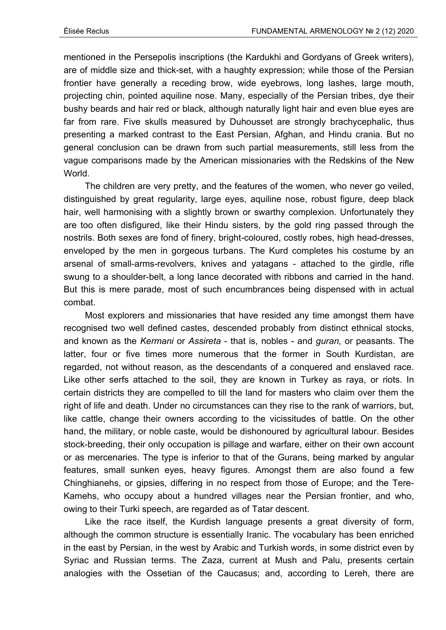mentioned in the Persepolis inscriptions (the Kardukhi and Gordyans of Greek writers), are of middle size and thick-set, with a haughty expression; while those of the Persian frontier have generally a receding brow, wide eyebrows, long lashes, large mouth, projecting chin, pointed aquiline nose. Many, especially of the Persian tribes, dye their bushy beards and hair red or black, although naturally light hair and even blue eyes are far from rare. Five skulls measured by Duhousset are strongly brachycephalic, thus presenting a marked contrast to the East Persian, Afghan, and Hindu crania. But no general conclusion can be drawn from such partial measurements, still less from the vague comparisons made by the American missionaries with the Redskins of the New World.

The children are very pretty, and the features of the women, who never go veiled, distinguished by great regularity, large eyes, aquiline nose, robust figure, deep black hair, well harmonising with a slightly brown or swarthy complexion. Unfortunately they are too often disfigured, like their Hindu sisters, by the gold ring passed through the nostrils. Both sexes are fond of finery, bright-coloured, costly robes, high head-dresses, enveloped by the men in gorgeous turbans. The Kurd completes his costume by an arsenal of small-arms-revolvers, knives and yatagans - attached to the girdle, rifle swung to a shoulder-belt, a long lance decorated with ribbons and carried in the hand. But this is mere parade, most of such encumbrances being dispensed with in actual combat.

Most explorers and missionaries that have resided any time amongst them have recognised two well defined castes, descended probably from distinct ethnical stocks, and known as the *Kermani* or *Assireta* - that is, nobles - and *guran,* or peasants. The latter, four or five times more numerous that the former in South Kurdistan, are regarded, not without reason, as the descendants of a conquered and enslaved race. Like other serfs attached to the soil, they are known in Turkey as raya, or riots. In certain districts they are compelled to till the land for masters who claim over them the right of life and death. Under no circumstances can they rise to the rank of warriors, but, like cattle, change their owners according to the vicissitudes of battle. On the other hand, the military, or noble caste, would be dishonoured by agricultural labour. Besides stock-breeding, their only occupation is pillage and warfare, either on their own account or as mercenaries. The type is inferior to that of the Gurans, being marked by angular features, small sunken eyes, heavy figures. Amongst them are also found a few Chinghianehs, or gipsies, differing in no respect from those of Europe; and the Tere-Kamehs, who occupy about a hundred villages near the Persian frontier, and who, owing to their Turki speech, are regarded as of Tatar descent.

Like the race itself, the Kurdish language presents a great diversity of form, although the common structure is essentially Iranic. The vocabulary has been enriched in the east by Persian, in the west by Arabic and Turkish words, in some district even by Syriac and Russian terms. The Zaza, current at Mush and Palu, presents certain analogies with the Ossetian of the Caucasus; and, according to Lereh, there are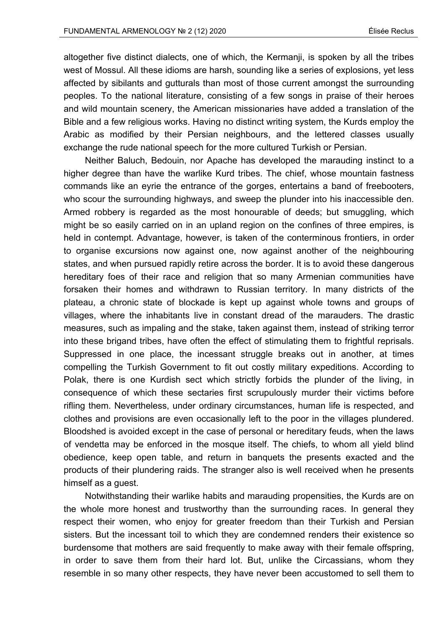altogether five distinct dialects, one of which, the Kermanji, is spoken by all the tribes west of Mossul. All these idioms are harsh, sounding like a series of explosions, yet less affected by sibilants and gutturals than most of those current amongst the surrounding peoples. To the national literature, consisting of a few songs in praise of their heroes and wild mountain scenery, the American missionaries have added a translation of the Bible and a few religious works. Having no distinct writing system, the Kurds employ the Arabic as modified by their Persian neighbours, and the lettered classes usually exchange the rude national speech for the more cultured Turkish or Persian.

Neither Baluch, Bedouin, nor Apache has developed the marauding instinct to a higher degree than have the warlike Kurd tribes. The chief, whose mountain fastness commands like an eyrie the entrance of the gorges, entertains a band of freebooters, who scour the surrounding highways, and sweep the plunder into his inaccessible den. Armed robbery is regarded as the most honourable of deeds; but smuggling, which might be so easily carried on in an upland region on the confines of three empires, is held in contempt. Advantage, however, is taken of the conterminous frontiers, in order to organise excursions now against one, now against another of the neighbouring states, and when pursued rapidly retire across the border. It is to avoid these dangerous hereditary foes of their race and religion that so many Armenian communities have forsaken their homes and withdrawn to Russian territory. In many districts of the plateau, a chronic state of blockade is kept up against whole towns and groups of villages, where the inhabitants live in constant dread of the marauders. The drastic measures, such as impaling and the stake, taken against them, instead of striking terror into these brigand tribes, have often the effect of stimulating them to frightful reprisals. Suppressed in one place, the incessant struggle breaks out in another, at times compelling the Turkish Government to fit out costly military expeditions. According to Polak, there is one Kurdish sect which strictly forbids the plunder of the living, in consequence of which these sectaries first scrupulously murder their victims before rifling them. Nevertheless, under ordinary circumstances, human life is respected, and clothes and provisions are even occasionally left to the poor in the villages plundered. Bloodshed is avoided except in the case of personal or hereditary feuds, when the laws of vendetta may be enforced in the mosque itself. The chiefs, to whom all yield blind obedience, keep open table, and return in banquets the presents exacted and the products of their plundering raids. The stranger also is well received when he presents himself as a guest.

Notwithstanding their warlike habits and marauding propensities, the Kurds are on the whole more honest and trustworthy than the surrounding races. In general they respect their women, who enjoy for greater freedom than their Turkish and Persian sisters. But the incessant toil to which they are condemned renders their existence so burdensome that mothers are said frequently to make away with their female offspring, in order to save them from their hard lot. But, unlike the Circassians, whom they resemble in so many other respects, they have never been accustomed to sell them to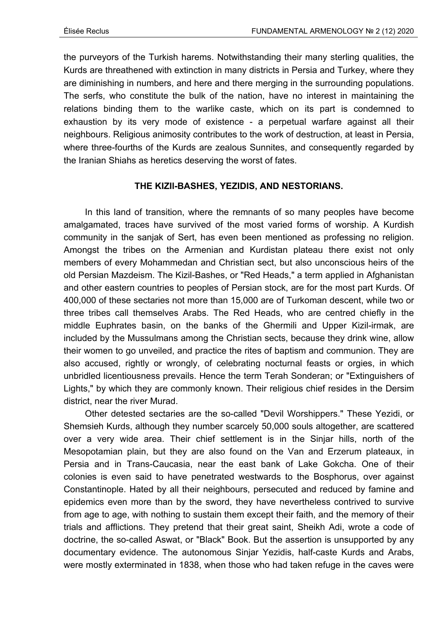the purveyors of the Turkish harems. Notwithstanding their many sterling qualities, the Kurds are threathened with extinction in many districts in Persia and Turkey, where they are diminishing in numbers, and here and there merging in the surrounding populations. The serfs, who constitute the bulk of the nation, have no interest in maintaining the relations binding them to the warlike caste, which on its part is condemned to exhaustion by its very mode of existence - a perpetual warfare against all their neighbours. Religious animosity contributes to the work of destruction, at least in Persia, where three-fourths of the Kurds are zealous Sunnites, and consequently regarded by the Iranian Shiahs as heretics deserving the worst of fates.

# **THE KIZIl-BASHES, YEZIDIS, AND NESTORIANS.**

In this land of transition, where the remnants of so many peoples have become amalgamated, traces have survived of the most varied forms of worship. A Kurdish community in the sanjak of Sert, has even been mentioned as professing no religion. Amongst the tribes on the Armenian and Kurdistan plateau there exist not only members of every Mohammedan and Christian sect, but also unconscious heirs of the old Persian Mazdeism. The Kizil-Bashes, or "Red Heads," a term applied in Afghanistan and other eastern countries to peoples of Persian stock, are for the most part Kurds. Of 400,000 of these sectaries not more than 15,000 are of Turkoman descent, while two or three tribes call themselves Arabs. The Red Heads, who are centred chiefly in the middle Euphrates basin, on the banks of the Ghermili and Upper Kizil-irmak, are included by the Mussulmans among the Christian sects, because they drink wine, allow their women to go unveiled, and practice the rites of baptism and communion. They are also accused, rightly or wrongly, of celebrating nocturnal feasts or orgies, in which unbridled licentiousness prevails. Hence the term Terah Sonderan; or "Extinguishers of Lights," by which they are commonly known. Their religious chief resides in the Dersim district, near the river Murad.

Other detested sectaries are the so-called "Devil Worshippers." These Yezidi, or Shemsieh Kurds, although they number scarcely 50,000 souls altogether, are scattered over a very wide area. Their chief settlement is in the Sinjar hills, north of the Mesopotamian plain, but they are also found on the Van and Erzerum plateaux, in Persia and in Trans-Caucasia, near the east bank of Lake Gokcha. One of their colonies is even said to have penetrated westwards to the Bosphorus, over against Constantinople. Hated by all their neighbours, persecuted and reduced by famine and epidemics even more than by the sword, they have nevertheless contrived to survive from age to age, with nothing to sustain them except their faith, and the memory of their trials and afflictions. They pretend that their great saint, Sheikh Adi, wrote a code of doctrine, the so-called Aswat, or "Black" Book. But the assertion is unsupported by any documentary evidence. The autonomous Sinjar Yezidis, half-caste Kurds and Arabs, were mostly exterminated in 1838, when those who had taken refuge in the caves were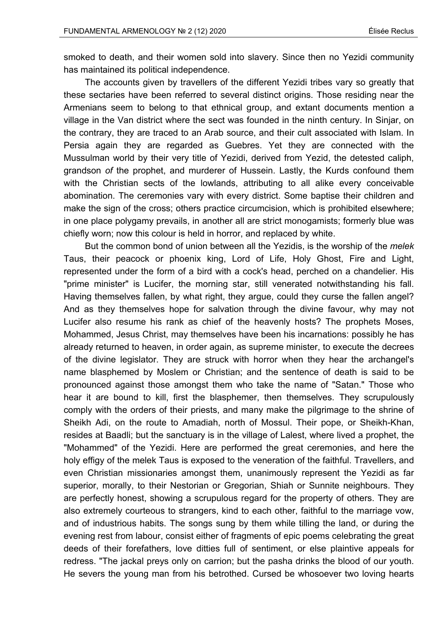smoked to death, and their women sold into slavery. Since then no Yezidi community has maintained its political independence.

The accounts given by travellers of the different Yezidi tribes vary so greatly that these sectaries have been referred to several distinct origins. Those residing near the Armenians seem to belong to that ethnical group, and extant documents mention a village in the Van district where the sect was founded in the ninth century. In Sinjar, on the contrary, they are traced to an Arab source, and their cult associated with Islam. In Persia again they are regarded as Guebres. Yet they are connected with the Mussulman world by their very title of Yezidi, derived from Yezid, the detested caliph, grandson *of* the prophet, and murderer of Hussein. Lastly, the Kurds confound them with the Christian sects of the lowlands, attributing to all alike every conceivable abomination. The ceremonies vary with every district. Some baptise their children and make the sign of the cross; others practice circumcision, which is prohibited elsewhere; in one place polygamy prevails, in another all are strict monogamists; formerly blue was chiefly worn; now this colour is held in horror, and replaced by white.

But the common bond of union between all the Yezidis, is the worship of the *melek*  Taus, their peacock or phoenix king, Lord of Life, Holy Ghost, Fire and Light, represented under the form of a bird with a cock's head, perched on a chandelier. His "prime minister" is Lucifer, the morning star, still venerated notwithstanding his fall. Having themselves fallen, by what right, they argue, could they curse the fallen angel? And as they themselves hope for salvation through the divine favour, why may not Lucifer also resume his rank as chief of the heavenly hosts? The prophets Moses, Mohammed, Jesus Christ, may themselves have been his incarnations: possibly he has already returned to heaven, in order again, as supreme minister, to execute the decrees of the divine legislator. They are struck with horror when they hear the archangel's name blasphemed by Moslem or Christian; and the sentence of death is said to be pronounced against those amongst them who take the name of "Satan." Those who hear it are bound to kill, first the blasphemer, then themselves. They scrupulously comply with the orders of their priests, and many make the pilgrimage to the shrine of Sheikh Adi, on the route to Amadiah, north of Mossul. Their pope, or Sheikh-Khan, resides at Baadli; but the sanctuary is in the village of Lalest, where lived a prophet, the "Mohammed" of the Yezidi. Here are performed the great ceremonies, and here the holy effigy of the melek Taus is exposed to the veneration of the faithful. Travellers, and even Christian missionaries amongst them, unanimously represent the Yezidi as far superior, morally, to their Nestorian or Gregorian, Shiah or Sunnite neighbours. They are perfectly honest, showing a scrupulous regard for the property of others. They are also extremely courteous to strangers, kind to each other, faithful to the marriage vow, and of industrious habits. The songs sung by them while tilling the land, or during the evening rest from labour, consist either of fragments of epic poems celebrating the great deeds of their forefathers, love ditties full of sentiment, or else plaintive appeals for redress. "The jackal preys only on carrion; but the pasha drinks the blood of our youth. He severs the young man from his betrothed. Cursed be whosoever two loving hearts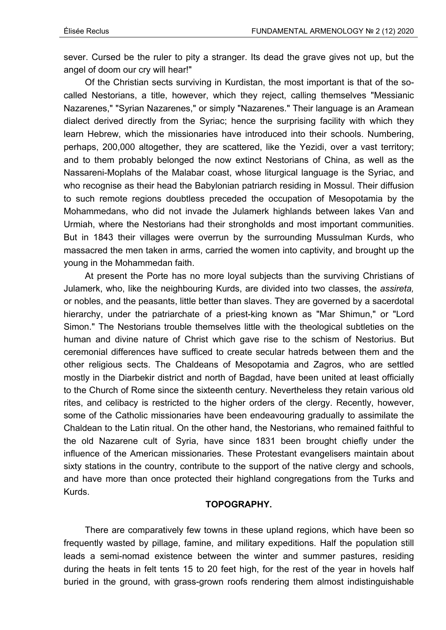sever. Cursed be the ruler to pity a stranger. Its dead the grave gives not up, but the angel of doom our cry will hear!"

Of the Christian sects surviving in Kurdistan, the most important is that of the socalled Nestorians, a title, however, which they reject, calling themselves "Messianic Nazarenes," "Syrian Nazarenes," or simply "Nazarenes." Their language is an Aramean dialect derived directly from the Syriac; hence the surprising facility with which they learn Hebrew, which the missionaries have introduced into their schools. Numbering, perhaps, 200,000 altogether, they are scattered, like the Yezidi, over a vast territory; and to them probably belonged the now extinct Nestorians of China, as well as the Nassareni-Moplahs of the Malabar coast, whose liturgical language is the Syriac, and who recognise as their head the Babylonian patriarch residing in Mossul. Their diffusion to such remote regions doubtless preceded the occupation of Mesopotamia by the Mohammedans, who did not invade the Julamerk highlands between lakes Van and Urmiah, where the Nestorians had their strongholds and most important communities. But in 1843 their villages were overrun by the surrounding Mussulman Kurds, who massacred the men taken in arms, carried the women into captivity, and brought up the young in the Mohammedan faith.

At present the Porte has no more loyal subjects than the surviving Christians of Julamerk, who, like the neighbouring Kurds, are divided into two classes, the *assireta,*  or nobles, and the peasants, little better than slaves. They are governed by a sacerdotal hierarchy, under the patriarchate of a priest-king known as "Mar Shimun," or "Lord Simon." The Nestorians trouble themselves little with the theological subtleties on the human and divine nature of Christ which gave rise to the schism of Nestorius. But ceremonial differences have sufficed to create secular hatreds between them and the other religious sects. The Chaldeans of Mesopotamia and Zagros, who are settled mostly in the Diarbekir district and north of Bagdad, have been united at least officially to the Church of Rome since the sixteenth century. Nevertheless they retain various old rites, and celibacy is restricted to the higher orders of the clergy. Recently, however, some of the Catholic missionaries have been endeavouring gradually to assimilate the Chaldean to the Latin ritual. On the other hand, the Nestorians, who remained faithful to the old Nazarene cult of Syria, have since 1831 been brought chiefly under the influence of the American missionaries. These Protestant evangelisers maintain about sixty stations in the country, contribute to the support of the native clergy and schools, and have more than once protected their highland congregations from the Turks and Kurds.

#### **TOPOGRAPHY.**

There are comparatively few towns in these upland regions, which have been so frequently wasted by pillage, famine, and military expeditions. Half the population still leads a semi-nomad existence between the winter and summer pastures, residing during the heats in felt tents 15 to 20 feet high, for the rest of the year in hovels half buried in the ground, with grass-grown roofs rendering them almost indistinguishable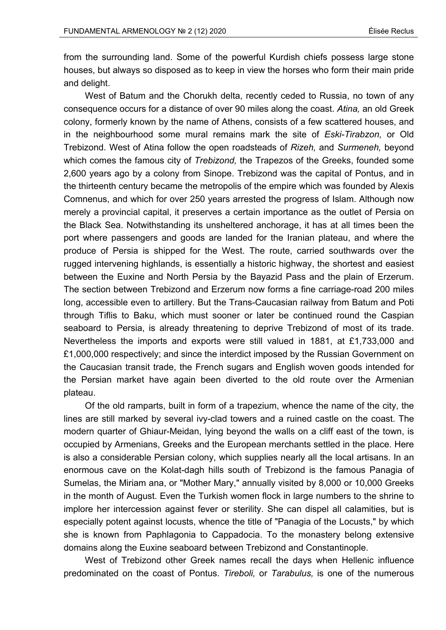from the surrounding land. Some of the powerful Kurdish chiefs possess large stone houses, but always so disposed as to keep in view the horses who form their main pride and delight.

West of Batum and the Chorukh delta, recently ceded to Russia, no town of any consequence occurs for a distance of over 90 miles along the coast. *Atina,* an old Greek colony, formerly known by the name of Athens, consists of a few scattered houses, and in the neighbourhood some mural remains mark the site of *Eski-Tirabzon,* or Old Trebizond. West of Atina follow the open roadsteads of *Rizeh,* and *Surmeneh,* beyond which comes the famous city of *Trebizond,* the Trapezos of the Greeks, founded some 2,600 years ago by a colony from Sinope. Trebizond was the capital of Pontus, and in the thirteenth century became the metropolis of the empire which was founded by Alexis Comnenus, and which for over 250 years arrested the progress of Islam. Although now merely a provincial capital, it preserves a certain importance as the outlet of Persia on the Black Sea. Notwithstanding its unsheltered anchorage, it has at all times been the port where passengers and goods are landed for the Iranian plateau, and where the produce of Persia is shipped for the West. The route, carried southwards over the rugged intervening highlands, is essentially a historic highway, the shortest and easiest between the Euxine and North Persia by the Bayazid Pass and the plain of Erzerum. The section between Trebizond and Erzerum now forms a fine carriage-road 200 miles long, accessible even to artillery. But the Trans-Caucasian railway from Batum and Poti through Tiflis to Baku, which must sooner or later be continued round the Caspian seaboard to Persia, is already threatening to deprive Trebizond of most of its trade. Nevertheless the imports and exports were still valued in 1881, at £1,733,000 and £1,000,000 respectively; and since the interdict imposed by the Russian Government on the Caucasian transit trade, the French sugars and English woven goods intended for the Persian market have again been diverted to the old route over the Armenian plateau.

Of the old ramparts, built in form of a trapezium, whence the name of the city, the lines are still marked by several ivy-clad towers and a ruined castle on the coast. The modern quarter of Ghiaur-Meidan, lying beyond the walls on a cliff east of the town, is occupied by Armenians, Greeks and the European merchants settled in the place. Here is also a considerable Persian colony, which supplies nearly all the local artisans. In an enormous cave on the Kolat-dagh hills south of Trebizond is the famous Panagia of Sumelas, the Miriam ana, or "Mother Mary," annually visited by 8,000 or 10,000 Greeks in the month of August. Even the Turkish women flock in large numbers to the shrine to implore her intercession against fever or sterility. She can dispel all calamities, but is especially potent against locusts, whence the title of "Panagia of the Locusts," by which she is known from Paphlagonia to Cappadocia. To the monastery belong extensive domains along the Euxine seaboard between Trebizond and Constantinople.

West of Trebizond other Greek names recall the days when Hellenic influence predominated on the coast of Pontus. *Tireboli,* or *Tarabulus,* is one of the numerous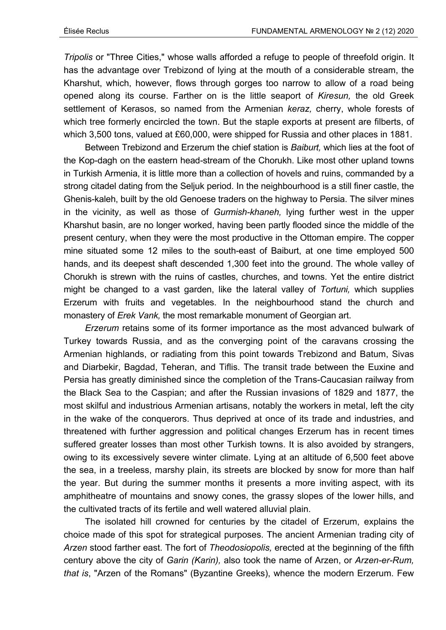*Tripolis* or "Three Cities," whose walls afforded a refuge to people of threefold origin. It has the advantage over Trebizond of lying at the mouth of a considerable stream, the Kharshut, which, however, flows through gorges too narrow to allow of a road being opened along its course. Farther on is the little seaport of *Kiresun,* the old Greek settlement of Kerasos, so named from the Armenian *keraz,* cherry, whole forests of which tree formerly encircled the town. But the staple exports at present are filberts, of which 3,500 tons, valued at £60,000, were shipped for Russia and other places in 1881.

Between Trebizond and Erzerum the chief station is *Baiburt,* which lies at the foot of the Kop-dagh on the eastern head-stream of the Chorukh. Like most other upland towns in Turkish Armenia, it is little more than a collection of hovels and ruins, commanded by a strong citadel dating from the Seljuk period. In the neighbourhood is a still finer castle, the Ghenis-kaleh, built by the old Genoese traders on the highway to Persia. The silver mines in the vicinity, as well as those of *Gurmish-khaneh,* lying further west in the upper Kharshut basin, are no longer worked, having been partly flooded since the middle of the present century, when they were the most productive in the Ottoman empire. The copper mine situated some 12 miles to the south-east of Baiburt, at one time employed 500 hands, and its deepest shaft descended 1,300 feet into the ground. The whole valley of Chorukh is strewn with the ruins of castles, churches, and towns. Yet the entire district might be changed to a vast garden, like the lateral valley of *Tortuni,* which supplies Erzerum with fruits and vegetables. In the neighbourhood stand the church and monastery of *Erek Vank,* the most remarkable monument of Georgian art.

*Erzerum* retains some of its former importance as the most advanced bulwark of Turkey towards Russia, and as the converging point of the caravans crossing the Armenian highlands, or radiating from this point towards Trebizond and Batum, Sivas and Diarbekir, Bagdad, Teheran, and Tiflis. The transit trade between the Euxine and Persia has greatly diminished since the completion of the Trans-Caucasian railway from the Black Sea to the Caspian; and after the Russian invasions of 1829 and 1877, the most skilful and industrious Armenian artisans, notably the workers in metal, left the city in the wake of the conquerors. Thus deprived at once of its trade and industries, and threatened with further aggression and political changes Erzerum has in recent times suffered greater losses than most other Turkish towns. It is also avoided by strangers, owing to its excessively severe winter climate. Lying at an altitude of 6,500 feet above the sea, in a treeless, marshy plain, its streets are blocked by snow for more than half the year. But during the summer months it presents a more inviting aspect, with its amphitheatre of mountains and snowy cones, the grassy slopes of the lower hills, and the cultivated tracts of its fertile and well watered alluvial plain.

The isolated hill crowned for centuries by the citadel of Erzerum, explains the choice made of this spot for strategical purposes. The ancient Armenian trading city of *Arzen* stood farther east. The fort of *Theodosiopolis,* erected at the beginning of the fifth century above the city of *Garin (Karin),* also took the name of Arzen, or *Arzen-er-Rum, that is*, "Arzen of the Romans" (Byzantine Greeks), whence the modern Erzerum. Few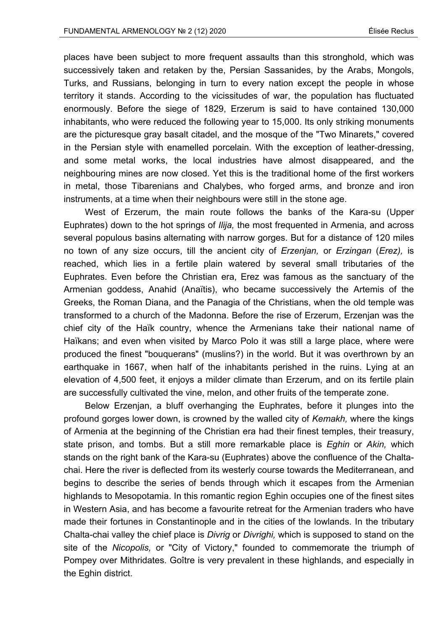places have been subject to more frequent assaults than this stronghold, which was successively taken and retaken by the, Persian Sassanides, by the Arabs, Mongols, Turks, and Russians, belonging in turn to every nation except the people in whose territory it stands. According to the vicissitudes of war, the population has fluctuated enormously. Before the siege of 1829, Erzerum is said to have contained 130,000 inhabitants, who were reduced the following year to 15,000. Its only striking monuments are the picturesque gray basalt citadel, and the mosque of the "Two Minarets," covered in the Persian style with enamelled porcelain. With the exception of leather-dressing, and some metal works, the local industries have almost disappeared, and the neighbouring mines are now closed. Yet this is the traditional home of the first workers in metal, those Tibarenians and Chalybes, who forged arms, and bronze and iron instruments, at a time when their neighbours were still in the stone age.

West of Erzerum, the main route follows the banks of the Kara-su (Upper Euphrates) down to the hot springs of *Ilija,* the most frequented in Armenia, and across several populous basins alternating with narrow gorges. But for a distance of 120 miles no town of any size occurs, till the ancient city of *Erzenjan,* or *Erzingan* (*Erez),* is reached, which lies in a fertile plain watered by several small tributaries of the Euphrates. Even before the Christian era, Erez was famous as the sanctuary of the Armenian goddess, Anahid (Anaïtis), who became successively the Artemis of the Greeks, the Roman Diana, and the Panagia of the Christians, when the old temple was transformed to a church of the Madonna. Before the rise of Erzerum, Erzenjan was the chief city of the Haïk country, whence the Armenians take their national name of Haïkans; and even when visited by Marco Polo it was still a large place, where were produced the finest "bouquerans" (muslins?) in the world. But it was overthrown by an earthquake in 1667, when half of the inhabitants perished in the ruins. Lying at an elevation of 4,500 feet, it enjoys a milder climate than Erzerum, and on its fertile plain are successfully cultivated the vine, melon, and other fruits of the temperate zone.

Below Erzenjan, a bluff overhanging the Euphrates, before it plunges into the profound gorges lower down, is crowned by the walled city of *Kemakh,* where the kings of Armenia at the beginning of the Christian era had their finest temples, their treasury, state prison, and tombs. But a still more remarkable place is *Eghin* or *Akin,* which stands on the right bank of the Kara-su (Euphrates) above the confluence of the Chaltachai. Here the river is deflected from its westerly course towards the Mediterranean, and begins to describe the series of bends through which it escapes from the Armenian highlands to Mesopotamia. In this romantic region Eghin occupies one of the finest sites in Western Asia, and has become a favourite retreat for the Armenian traders who have made their fortunes in Constantinople and in the cities of the lowlands. In the tributary Chalta-chai valley the chief place is *Divrig* or *Divrighi,* which is supposed to stand on the site of the *Nicopolis,* or "City of Victory," founded to commemorate the triumph of Pompey over Mithridates. Goître is very prevalent in these highlands, and especially in the Eghin district.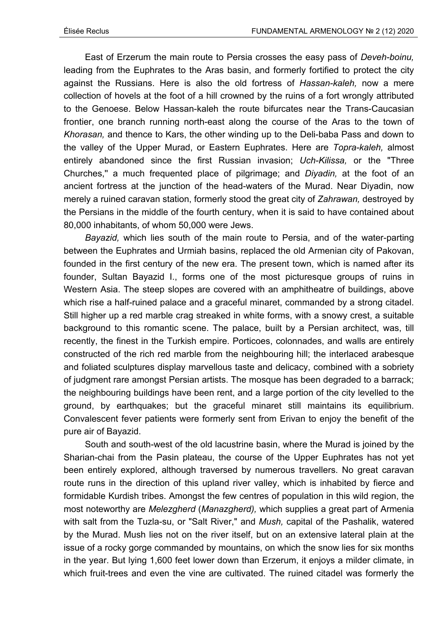East of Erzerum the main route to Persia crosses the easy pass of *Deveh-boinu,*  leading from the Euphrates to the Aras basin, and formerly fortified to protect the city against the Russians. Here is also the old fortress of *Hassan-kaleh,* now a mere collection of hovels at the foot of a hill crowned by the ruins of a fort wrongly attributed to the Genoese. Below Hassan-kaleh the route bifurcates near the Trans-Caucasian frontier, one branch running north-east along the course of the Aras to the town of *Khorasan,* and thence to Kars, the other winding up to the Deli-baba Pass and down to the valley of the Upper Murad, or Eastern Euphrates. Here are *Topra-kaleh,* almost entirely abandoned since the first Russian invasion; *Uch-Kilissa,* or the "Three Churches,'' a much frequented place of pilgrimage; and *Diyadin,* at the foot of an ancient fortress at the junction of the head-waters of the Murad. Near Diyadin, now merely a ruined caravan station, formerly stood the great city of *Zahrawan,* destroyed by the Persians in the middle of the fourth century, when it is said to have contained about 80,000 inhabitants, of whom 50,000 were Jews.

*Bayazid,* which lies south of the main route to Persia, and of the water-parting between the Euphrates and Urmiah basins, replaced the old Armenian city of Pakovan, founded in the first century of the new era. The present town, which is named after its founder, Sultan Bayazid I., forms one of the most picturesque groups of ruins in Western Asia. The steep slopes are covered with an amphitheatre of buildings, above which rise a half-ruined palace and a graceful minaret, commanded by a strong citadel. Still higher up a red marble crag streaked in white forms, with a snowy crest, a suitable background to this romantic scene. The palace, built by a Persian architect, was, till recently, the finest in the Turkish empire. Porticoes, colonnades, and walls are entirely constructed of the rich red marble from the neighbouring hill; the interlaced arabesque and foliated sculptures display marvellous taste and delicacy, combined with a sobriety of judgment rare amongst Persian artists. The mosque has been degraded to a barrack; the neighbouring buildings have been rent, and a large portion of the city levelled to the ground, by earthquakes; but the graceful minaret still maintains its equilibrium. Convalescent fever patients were formerly sent from Erivan to enjoy the benefit of the pure air of Bayazid.

South and south-west of the old lacustrine basin, where the Murad is joined by the Sharian-chai from the Pasin plateau, the course of the Upper Euphrates has not yet been entirely explored, although traversed by numerous travellers. No great caravan route runs in the direction of this upland river valley, which is inhabited by fierce and formidable Kurdish tribes. Amongst the few centres of population in this wild region, the most noteworthy are *Melezgherd* (*Manazgherd),* which supplies a great part of Armenia with salt from the Tuzla-su, or "Salt River," and *Mush,* capital of the Pashalik, watered by the Murad. Mush lies not on the river itself, but on an extensive lateral plain at the issue of a rocky gorge commanded by mountains, on which the snow lies for six months in the year. But lying 1,600 feet lower down than Erzerum, it enjoys a milder climate, in which fruit-trees and even the vine are cultivated. The ruined citadel was formerly the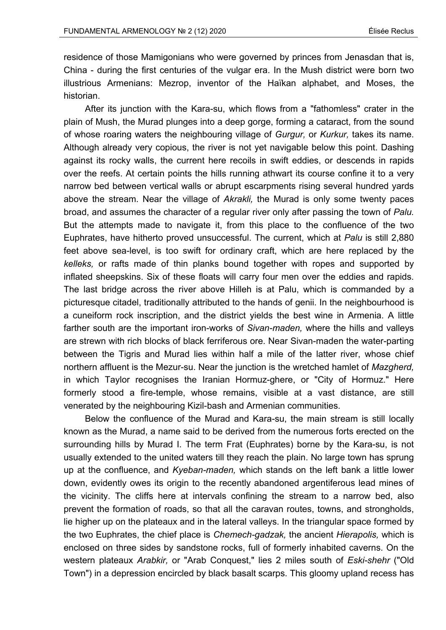residence of those Mamigonians who were governed by princes from Jenasdan that is, China - during the first centuries of the vulgar era. In the Mush district were born two illustrious Armenians: Mezrop, inventor of the Haïkan alphabet, and Moses, the historian.

After its junction with the Kara-su, which flows from a "fathomless" crater in the plain of Mush, the Murad plunges into a deep gorge, forming a cataract, from the sound of whose roaring waters the neighbouring village of *Gurgur,* or *Kurkur,* takes its name. Although already very copious, the river is not yet navigable below this point. Dashing against its rocky walls, the current here recoils in swift eddies, or descends in rapids over the reefs. At certain points the hills running athwart its course confine it to a very narrow bed between vertical walls or abrupt escarpments rising several hundred yards above the stream. Near the village of *Akrakli,* the Murad is only some twenty paces broad, and assumes the character of a regular river only after passing the town of *Palu.*  But the attempts made to navigate it, from this place to the confluence of the two Euphrates, have hitherto proved unsuccessful. The current, which at *Palu* is still 2,880 feet above sea-level, is too swift for ordinary craft, which are here replaced by the *kelleks,* or rafts made of thin planks bound together with ropes and supported by inflated sheepskins. Six of these floats will carry four men over the eddies and rapids. The last bridge across the river above Hilleh is at Palu, which is commanded by a picturesque citadel, traditionally attributed to the hands of genii. In the neighbourhood is a cuneiform rock inscription, and the district yields the best wine in Armenia. A little farther south are the important iron-works of *Sivan-maden,* where the hills and valleys are strewn with rich blocks of black ferriferous ore. Near Sivan-maden the water-parting between the Tigris and Murad lies within half a mile of the latter river, whose chief northern affluent is the Mezur-su. Near the junction is the wretched hamlet of *Mazgherd,*  in which Taylor recognises the Iranian Hormuz-ghere, or "City of Hormuz." Here formerly stood a fire-temple, whose remains, visible at a vast distance, are still venerated by the neighbouring Kizil-bash and Armenian communities.

Below the confluence of the Murad and Kara-su, the main stream is still locally known as the Murad, a name said to be derived from the numerous forts erected on the surrounding hills by Murad I. The term Frat (Euphrates) borne by the Kara-su, is not usually extended to the united waters till they reach the plain. No large town has sprung up at the confluence, and *Kyeban-maden,* which stands on the left bank a little lower down, evidently owes its origin to the recently abandoned argentiferous lead mines of the vicinity. The cliffs here at intervals confining the stream to a narrow bed, also prevent the formation of roads, so that all the caravan routes, towns, and strongholds, lie higher up on the plateaux and in the lateral valleys. In the triangular space formed by the two Euphrates, the chief place is *Chemech-gadzak,* the ancient *Hierapolis,* which is enclosed on three sides by sandstone rocks, full of formerly inhabited caverns. On the western plateaux *Arabkir,* or "Arab Conquest," lies 2 miles south of *Eski-shehr* ("Old Town") in a depression encircled by black basalt scarps. This gloomy upland recess has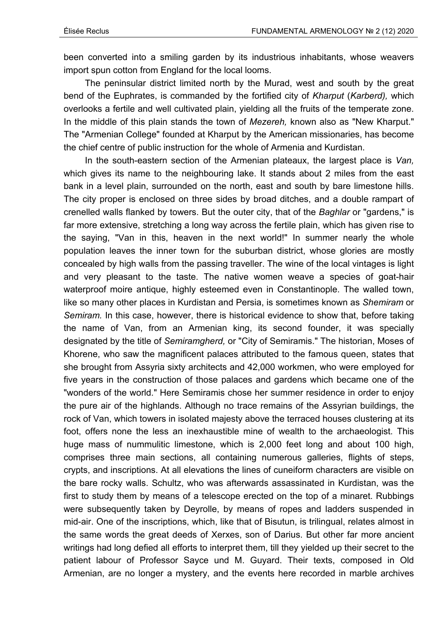been converted into a smiling garden by its industrious inhabitants, whose weavers import spun cotton from England for the local looms.

The peninsular district limited north by the Murad, west and south by the great bend of the Euphrates, is commanded by the fortified city of *Kharput* (*Karberd),* which overlooks a fertile and well cultivated plain, yielding all the fruits of the temperate zone. In the middle of this plain stands the town of *Mezereh,* known also as "New Kharput." The "Armenian College" founded at Kharput by the American missionaries, has become the chief centre of public instruction for the whole of Armenia and Kurdistan.

In the south-eastern section of the Armenian plateaux, the largest place is *Van,*  which gives its name to the neighbouring lake. It stands about 2 miles from the east bank in a level plain, surrounded on the north, east and south by bare limestone hills. The city proper is enclosed on three sides by broad ditches, and a double rampart of crenelled walls flanked by towers. But the outer city, that of the *Baghlar* or "gardens," is far more extensive, stretching a long way across the fertile plain, which has given rise to the saying, "Van in this, heaven in the next world!" In summer nearly the whole population leaves the inner town for the suburban district, whose glories are mostly concealed by high walls from the passing traveller. The wine of the local vintages is light and very pleasant to the taste. The native women weave a species of goat-hair waterproof moire antique, highly esteemed even in Constantinople. The walled town, like so many other places in Kurdistan and Persia, is sometimes known as *Shemiram* or *Semiram.* In this case, however, there is historical evidence to show that, before taking the name of Van, from an Armenian king, its second founder, it was specially designated by the title of *Semiramgherd,* or "City of Semiramis." The historian, Moses of Khorene, who saw the magnificent palaces attributed to the famous queen, states that she brought from Assyria sixty architects and 42,000 workmen, who were employed for five years in the construction of those palaces and gardens which became one of the "wonders of the world." Here Semiramis chose her summer residence in order to enjoy the pure air of the highlands. Although no trace remains of the Assyrian buildings, the rock of Van, which towers in isolated majesty above the terraced houses clustering at its foot, offers none the less an inexhaustible mine of wealth to the archaeologist. This huge mass of nummulitic limestone, which is 2,000 feet long and about 100 high, comprises three main sections, all containing numerous galleries, flights of steps, crypts, and inscriptions. At all elevations the lines of cuneiform characters are visible on the bare rocky walls. Schultz, who was afterwards assassinated in Kurdistan, was the first to study them by means of a telescope erected on the top of a minaret. Rubbings were subsequently taken by Deyrolle, by means of ropes and ladders suspended in mid-air. One of the inscriptions, which, like that of Bisutun, is trilingual, relates almost in the same words the great deeds of Xerxes, son of Darius. But other far more ancient writings had long defied all efforts to interpret them, till they yielded up their secret to the patient labour of Professor Sayce und M. Guyard. Their texts, composed in Old Armenian, are no longer a mystery, and the events here recorded in marble archives